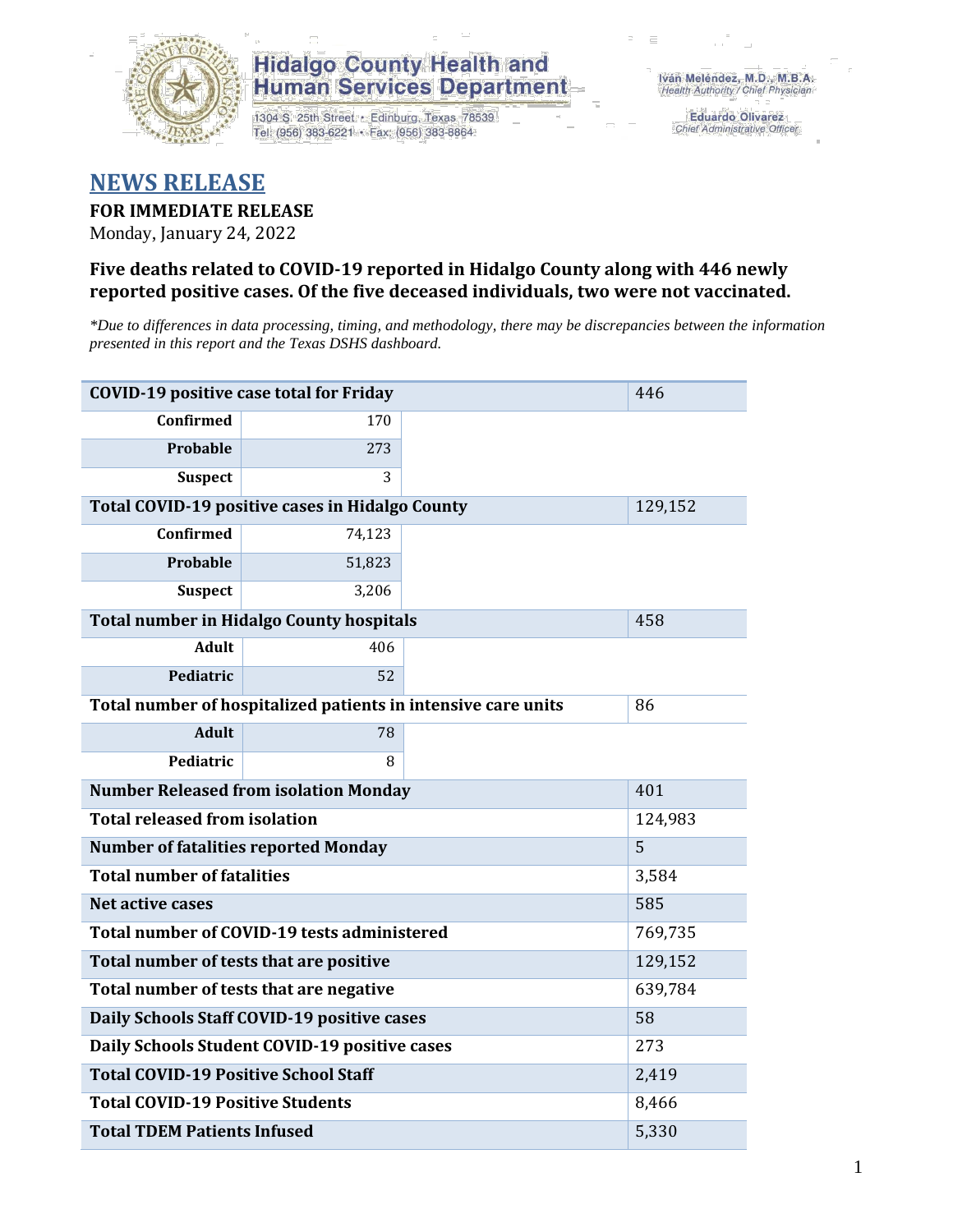

1304 S. 25th Street · Edinburg, Texas 78539 Tel: (956) 383-6221 · Fax: (956) 383-8864

**Eduardo Olivarez** Chief Administrative Officer

### **NEWS RELEASE**

#### **FOR IMMEDIATE RELEASE**

Monday, January 24, 2022

#### **Five deaths related to COVID-19 reported in Hidalgo County along with 446 newly reported positive cases. Of the five deceased individuals, two were not vaccinated.**

*\*Due to differences in data processing, timing, and methodology, there may be discrepancies between the information presented in this report and the Texas DSHS dashboard.*

| <b>COVID-19 positive case total for Friday</b>  | 446                                                           |         |         |  |  |
|-------------------------------------------------|---------------------------------------------------------------|---------|---------|--|--|
| <b>Confirmed</b>                                | 170                                                           |         |         |  |  |
| Probable                                        | 273                                                           |         |         |  |  |
| <b>Suspect</b>                                  | 3                                                             |         |         |  |  |
|                                                 | Total COVID-19 positive cases in Hidalgo County               |         | 129,152 |  |  |
| <b>Confirmed</b>                                | 74,123                                                        |         |         |  |  |
| Probable                                        | 51,823                                                        |         |         |  |  |
| <b>Suspect</b>                                  | 3,206                                                         |         |         |  |  |
|                                                 | <b>Total number in Hidalgo County hospitals</b>               |         | 458     |  |  |
| <b>Adult</b>                                    | 406                                                           |         |         |  |  |
| Pediatric                                       | 52                                                            |         |         |  |  |
|                                                 | Total number of hospitalized patients in intensive care units | 86      |         |  |  |
| <b>Adult</b>                                    | 78                                                            |         |         |  |  |
| Pediatric                                       | 8                                                             |         |         |  |  |
| <b>Number Released from isolation Monday</b>    | 401                                                           |         |         |  |  |
| <b>Total released from isolation</b><br>124,983 |                                                               |         |         |  |  |
| <b>Number of fatalities reported Monday</b>     |                                                               |         | 5       |  |  |
| <b>Total number of fatalities</b>               |                                                               |         | 3,584   |  |  |
| Net active cases                                |                                                               |         | 585     |  |  |
|                                                 | Total number of COVID-19 tests administered                   |         | 769,735 |  |  |
| Total number of tests that are positive         |                                                               |         | 129,152 |  |  |
| Total number of tests that are negative         |                                                               | 639,784 |         |  |  |
| Daily Schools Staff COVID-19 positive cases     |                                                               | 58      |         |  |  |
|                                                 | Daily Schools Student COVID-19 positive cases                 |         | 273     |  |  |
| <b>Total COVID-19 Positive School Staff</b>     | 2,419                                                         |         |         |  |  |
| <b>Total COVID-19 Positive Students</b>         |                                                               |         | 8,466   |  |  |
| <b>Total TDEM Patients Infused</b>              | 5,330                                                         |         |         |  |  |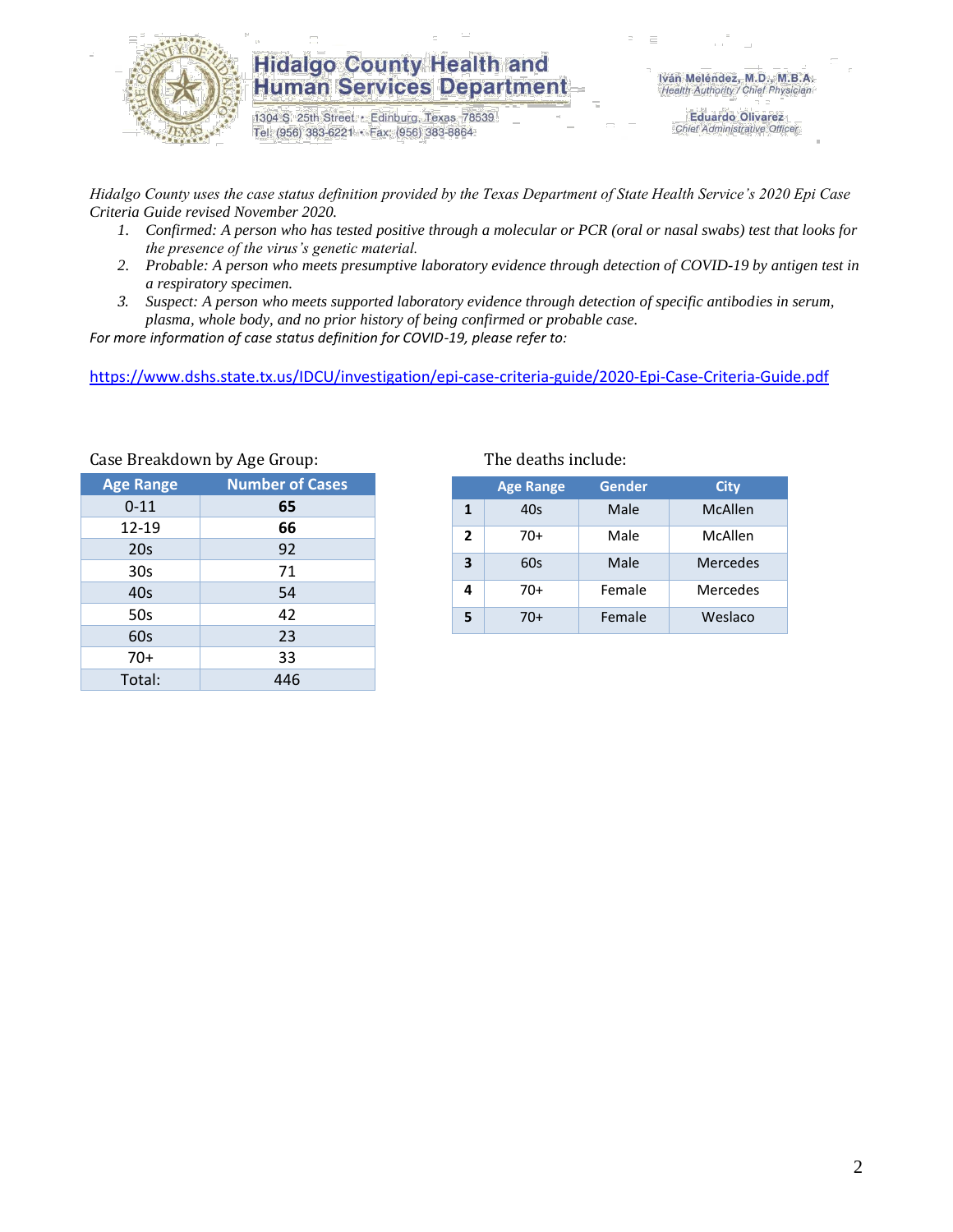

1304 S. 25th Street · Edinburg, Texas 78539 Tel: (956) 383-6221 · Fax: (956) 383-8864

**Eduardo Olivarez** Chief Administrative Officer

*Hidalgo County uses the case status definition provided by the Texas Department of State Health Service's 2020 Epi Case Criteria Guide revised November 2020.*

- *1. Confirmed: A person who has tested positive through a molecular or PCR (oral or nasal swabs) test that looks for the presence of the virus's genetic material.*
- *2. Probable: A person who meets presumptive laboratory evidence through detection of COVID-19 by antigen test in a respiratory specimen.*
- *3. Suspect: A person who meets supported laboratory evidence through detection of specific antibodies in serum, plasma, whole body, and no prior history of being confirmed or probable case.*

*For more information of case status definition for COVID-19, please refer to:*

<https://www.dshs.state.tx.us/IDCU/investigation/epi-case-criteria-guide/2020-Epi-Case-Criteria-Guide.pdf>

| $\frac{1}{2}$    |                        |  |  |  |  |  |  |
|------------------|------------------------|--|--|--|--|--|--|
| <b>Age Range</b> | <b>Number of Cases</b> |  |  |  |  |  |  |
| $0 - 11$         | 65                     |  |  |  |  |  |  |
| 12-19            | 66                     |  |  |  |  |  |  |
| 20s              | 92                     |  |  |  |  |  |  |
| 30 <sub>s</sub>  | 71                     |  |  |  |  |  |  |
| 40s              | 54                     |  |  |  |  |  |  |
| 50s              | 42                     |  |  |  |  |  |  |
| 60s              | 23                     |  |  |  |  |  |  |
| $70+$            | 33                     |  |  |  |  |  |  |
| Total:           | 446                    |  |  |  |  |  |  |

Case Breakdown by Age Group: The deaths include:

|              | <b>Age Range</b> | Gender | <b>City</b>     |
|--------------|------------------|--------|-----------------|
| $\mathbf{1}$ | 40s              | Male   | McAllen         |
| 2            | 70+              | Male   | McAllen         |
| 3            | 60s              | Male   | <b>Mercedes</b> |
| 4            | 70+              | Female | Mercedes        |
| 5            | 70+              | Female | Weslaco         |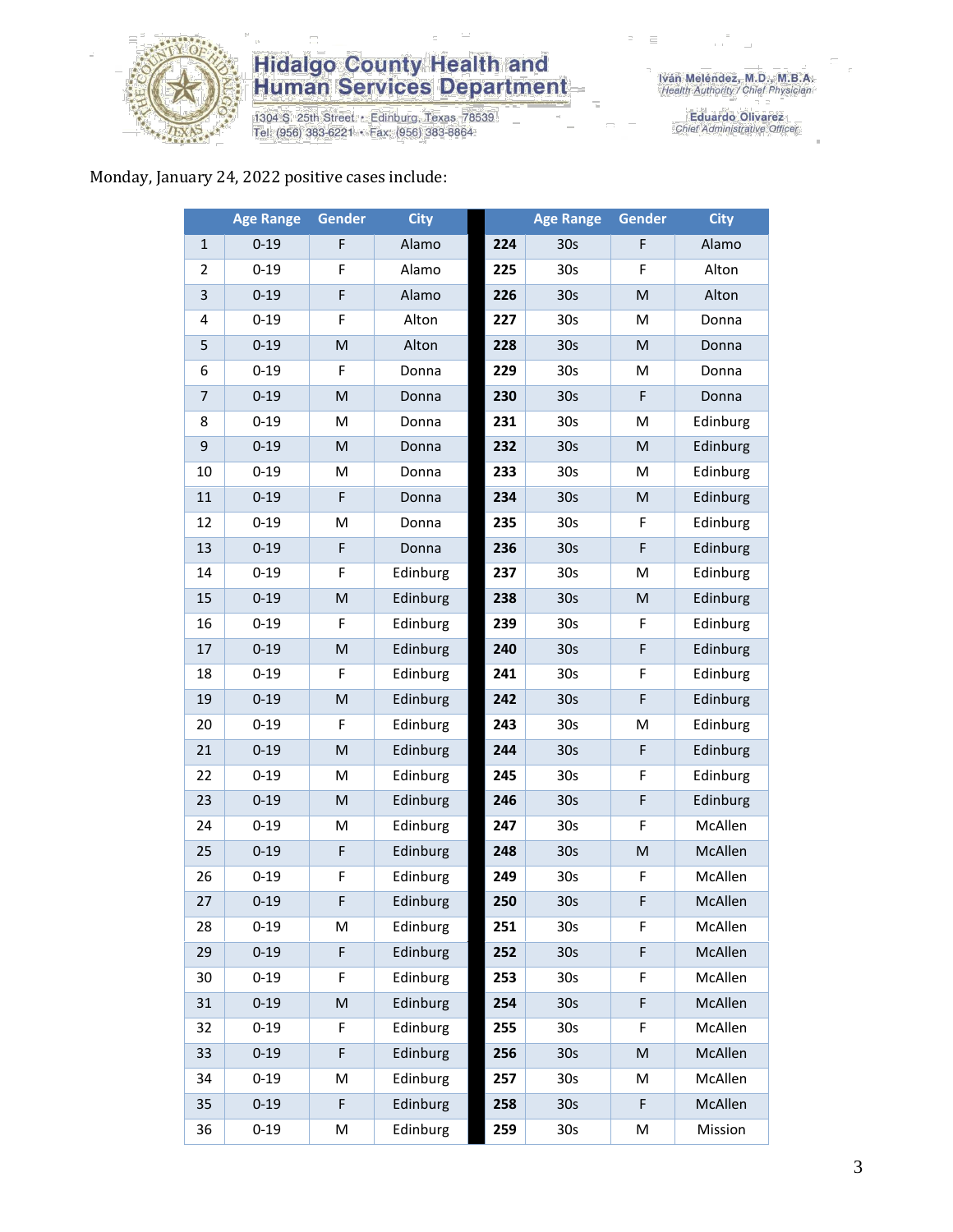

1304 S. 25th Street • Edinburg, Texas 78539<br>Tel: (956) 383-6221 • Fax: (956) 383-8864

Iván Meléndez, M.D., M.B.A.<br>Health Authority / Chief Physician

Eduardo Olivarez<br>Chief Administrative Officer

#### Monday, January 24, 2022 positive cases include:

|                | <b>Age Range</b> | <b>Gender</b>                                                                                              | <b>City</b> |     | <b>Age Range</b> | Gender      | <b>City</b> |
|----------------|------------------|------------------------------------------------------------------------------------------------------------|-------------|-----|------------------|-------------|-------------|
| $\mathbf{1}$   | $0 - 19$         | F                                                                                                          | Alamo       | 224 | 30 <sub>s</sub>  | F           | Alamo       |
| 2              | $0 - 19$         | F                                                                                                          | Alamo       | 225 | 30s              | F           | Alton       |
| 3              | $0 - 19$         | F                                                                                                          | Alamo       | 226 | 30 <sub>s</sub>  | M           | Alton       |
| 4              | $0 - 19$         | F                                                                                                          | Alton       | 227 | 30 <sub>s</sub>  | M           | Donna       |
| 5              | $0 - 19$         | M                                                                                                          | Alton       | 228 | 30 <sub>s</sub>  | M           | Donna       |
| 6              | $0 - 19$         | F                                                                                                          | Donna       | 229 | 30 <sub>s</sub>  | M           | Donna       |
| $\overline{7}$ | $0 - 19$         | $\mathsf{M}% _{T}=\mathsf{M}_{T}\!\left( a,b\right) ,\ \mathsf{M}_{T}=\mathsf{M}_{T}\!\left( a,b\right) ,$ | Donna       | 230 | 30 <sub>s</sub>  | F           | Donna       |
| 8              | $0 - 19$         | M                                                                                                          | Donna       | 231 | 30 <sub>s</sub>  | M           | Edinburg    |
| 9              | $0 - 19$         | M                                                                                                          | Donna       | 232 | 30 <sub>s</sub>  | M           | Edinburg    |
| 10             | $0 - 19$         | M                                                                                                          | Donna       | 233 | 30 <sub>s</sub>  | M           | Edinburg    |
| 11             | $0 - 19$         | F                                                                                                          | Donna       | 234 | 30 <sub>s</sub>  | M           | Edinburg    |
| 12             | $0 - 19$         | M                                                                                                          | Donna       | 235 | 30 <sub>s</sub>  | F           | Edinburg    |
| 13             | $0 - 19$         | F                                                                                                          | Donna       | 236 | 30 <sub>s</sub>  | $\mathsf F$ | Edinburg    |
| 14             | $0 - 19$         | F                                                                                                          | Edinburg    | 237 | 30 <sub>s</sub>  | Μ           | Edinburg    |
| 15             | $0 - 19$         | $\mathsf{M}% _{T}=\mathsf{M}_{T}\!\left( a,b\right) ,\ \mathsf{M}_{T}=\mathsf{M}_{T}\!\left( a,b\right) ,$ | Edinburg    | 238 | 30 <sub>s</sub>  | M           | Edinburg    |
| 16             | $0 - 19$         | F                                                                                                          | Edinburg    | 239 | 30 <sub>s</sub>  | F           | Edinburg    |
| 17             | $0 - 19$         | M                                                                                                          | Edinburg    | 240 | 30 <sub>s</sub>  | $\mathsf F$ | Edinburg    |
| 18             | $0 - 19$         | F                                                                                                          | Edinburg    | 241 | 30 <sub>s</sub>  | F           | Edinburg    |
| 19             | $0 - 19$         | M                                                                                                          | Edinburg    | 242 | 30 <sub>s</sub>  | F           | Edinburg    |
| 20             | $0 - 19$         | F                                                                                                          | Edinburg    | 243 | 30 <sub>s</sub>  | M           | Edinburg    |
| 21             | $0 - 19$         | M                                                                                                          | Edinburg    | 244 | 30 <sub>s</sub>  | F           | Edinburg    |
| 22             | $0 - 19$         | M                                                                                                          | Edinburg    | 245 | 30 <sub>s</sub>  | $\mathsf F$ | Edinburg    |
| 23             | $0 - 19$         | M                                                                                                          | Edinburg    | 246 | 30s              | F           | Edinburg    |
| 24             | $0 - 19$         | M                                                                                                          | Edinburg    | 247 | 30 <sub>s</sub>  | F           | McAllen     |
| 25             | $0 - 19$         | F                                                                                                          | Edinburg    | 248 | 30 <sub>s</sub>  | M           | McAllen     |
| 26             | $0 - 19$         | F                                                                                                          | Edinburg    | 249 | 30 <sub>s</sub>  | F           | McAllen     |
| 27             | $0 - 19$         | F                                                                                                          | Edinburg    | 250 | 30 <sub>s</sub>  | F           | McAllen     |
| 28             | $0 - 19$         | М                                                                                                          | Edinburg    | 251 | 30s              | F           | McAllen     |
| 29             | $0 - 19$         | F                                                                                                          | Edinburg    | 252 | 30 <sub>s</sub>  | F           | McAllen     |
| 30             | $0 - 19$         | F                                                                                                          | Edinburg    | 253 | 30 <sub>s</sub>  | F           | McAllen     |
| 31             | $0 - 19$         | M                                                                                                          | Edinburg    | 254 | 30 <sub>s</sub>  | F           | McAllen     |
| 32             | $0 - 19$         | F                                                                                                          | Edinburg    | 255 | 30 <sub>s</sub>  | F           | McAllen     |
| 33             | $0 - 19$         | F                                                                                                          | Edinburg    | 256 | 30 <sub>s</sub>  | M           | McAllen     |
| 34             | $0 - 19$         | M                                                                                                          | Edinburg    | 257 | 30 <sub>s</sub>  | M           | McAllen     |
| 35             | $0 - 19$         | F                                                                                                          | Edinburg    | 258 | 30 <sub>s</sub>  | F           | McAllen     |
| 36             | $0 - 19$         | M                                                                                                          | Edinburg    | 259 | 30s              | М           | Mission     |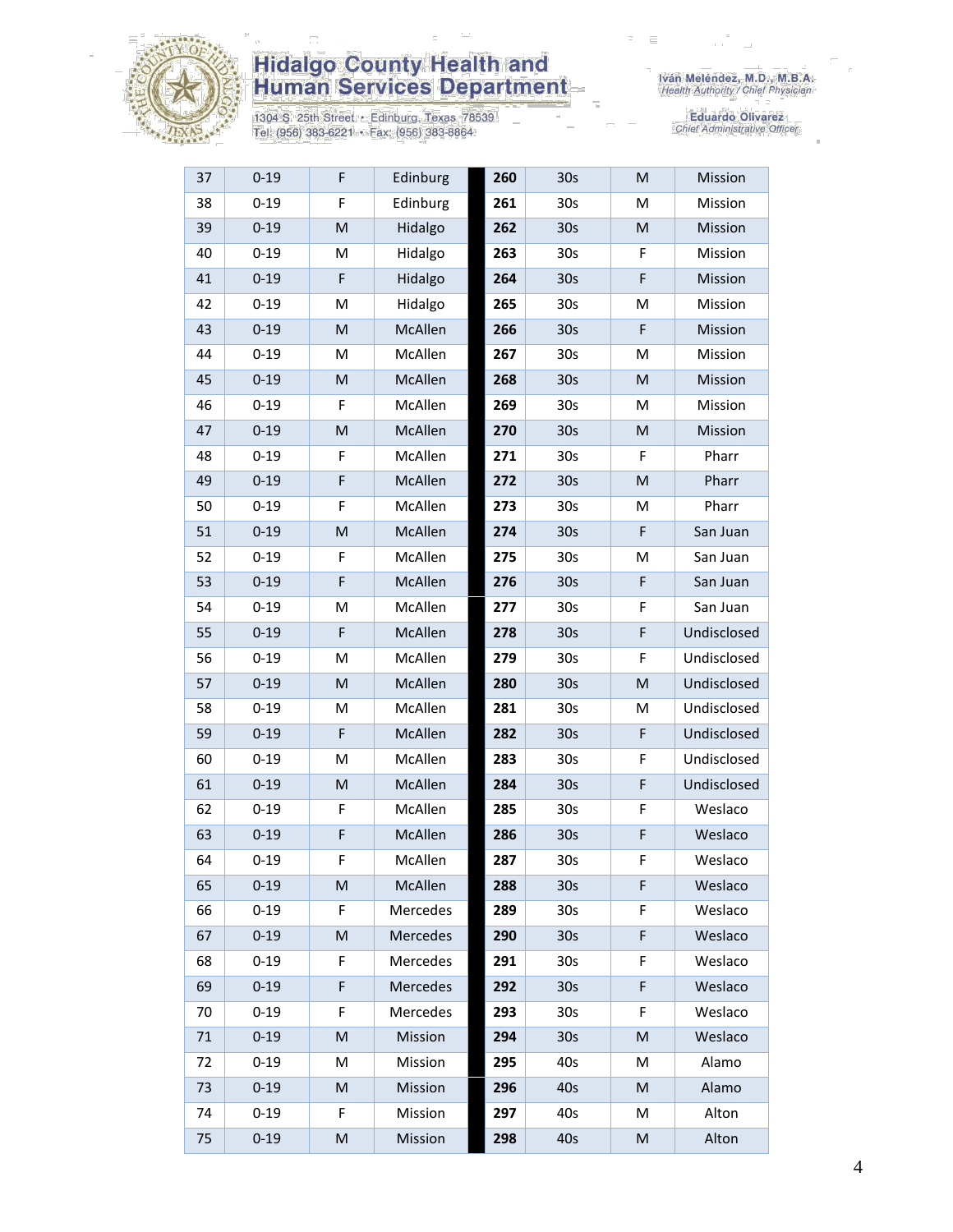

1304 S. 25th Street • Edinburg, Texas 78539<br>Tel: (956) 383-6221 • Fax: (956) 383-8864

| 37 | $0 - 19$ | F                                                                                                          | Edinburg | 260 | 30 <sub>s</sub> | M | Mission     |
|----|----------|------------------------------------------------------------------------------------------------------------|----------|-----|-----------------|---|-------------|
| 38 | $0 - 19$ | F                                                                                                          | Edinburg | 261 | 30 <sub>s</sub> | м | Mission     |
| 39 | $0 - 19$ | M                                                                                                          | Hidalgo  | 262 | 30 <sub>s</sub> | M | Mission     |
| 40 | $0 - 19$ | M                                                                                                          | Hidalgo  | 263 | 30 <sub>s</sub> | F | Mission     |
| 41 | $0 - 19$ | F                                                                                                          | Hidalgo  | 264 | 30s             | F | Mission     |
| 42 | $0 - 19$ | M                                                                                                          | Hidalgo  | 265 | 30 <sub>s</sub> | M | Mission     |
| 43 | $0 - 19$ | M                                                                                                          | McAllen  | 266 | 30 <sub>s</sub> | F | Mission     |
| 44 | $0 - 19$ | M                                                                                                          | McAllen  | 267 | 30 <sub>s</sub> | Μ | Mission     |
| 45 | $0 - 19$ | M                                                                                                          | McAllen  | 268 | 30 <sub>s</sub> | M | Mission     |
| 46 | $0 - 19$ | F                                                                                                          | McAllen  | 269 | 30 <sub>s</sub> | Μ | Mission     |
| 47 | $0 - 19$ | $\mathsf{M}% _{T}=\mathsf{M}_{T}\!\left( a,b\right) ,\ \mathsf{M}_{T}=\mathsf{M}_{T}\!\left( a,b\right) ,$ | McAllen  | 270 | 30 <sub>s</sub> | M | Mission     |
| 48 | $0 - 19$ | F                                                                                                          | McAllen  | 271 | 30 <sub>s</sub> | F | Pharr       |
| 49 | $0 - 19$ | $\mathsf F$                                                                                                | McAllen  | 272 | 30 <sub>s</sub> | M | Pharr       |
| 50 | $0 - 19$ | F                                                                                                          | McAllen  | 273 | 30 <sub>s</sub> | М | Pharr       |
| 51 | $0 - 19$ | M                                                                                                          | McAllen  | 274 | 30 <sub>s</sub> | F | San Juan    |
| 52 | $0 - 19$ | F                                                                                                          | McAllen  | 275 | 30 <sub>s</sub> | M | San Juan    |
| 53 | $0 - 19$ | $\mathsf F$                                                                                                | McAllen  | 276 | 30 <sub>s</sub> | F | San Juan    |
| 54 | $0 - 19$ | M                                                                                                          | McAllen  | 277 | 30 <sub>s</sub> | F | San Juan    |
| 55 | $0 - 19$ | F                                                                                                          | McAllen  | 278 | 30 <sub>s</sub> | F | Undisclosed |
| 56 | $0 - 19$ | M                                                                                                          | McAllen  | 279 | 30 <sub>s</sub> | F | Undisclosed |
| 57 | $0 - 19$ | $\mathsf{M}% _{T}=\mathsf{M}_{T}\!\left( a,b\right) ,\ \mathsf{M}_{T}=\mathsf{M}_{T}\!\left( a,b\right) ,$ | McAllen  | 280 | 30 <sub>s</sub> | M | Undisclosed |
| 58 | $0 - 19$ | M                                                                                                          | McAllen  | 281 | 30 <sub>s</sub> | M | Undisclosed |
| 59 | $0 - 19$ | F                                                                                                          | McAllen  | 282 | 30 <sub>s</sub> | F | Undisclosed |
| 60 | $0 - 19$ | M                                                                                                          | McAllen  | 283 | 30 <sub>s</sub> | F | Undisclosed |
| 61 | $0 - 19$ | ${\sf M}$                                                                                                  | McAllen  | 284 | 30 <sub>s</sub> | F | Undisclosed |
| 62 | $0 - 19$ | F                                                                                                          | McAllen  | 285 | 30 <sub>s</sub> | F | Weslaco     |
| 63 | $0 - 19$ | F                                                                                                          | McAllen  | 286 | 30s             | F | Weslaco     |
| 64 | $0 - 19$ | F                                                                                                          | McAllen  | 287 | 30 <sub>s</sub> | F | Weslaco     |
| 65 | $0 - 19$ | M                                                                                                          | McAllen  | 288 | 30 <sub>s</sub> | F | Weslaco     |
| 66 | $0 - 19$ | F                                                                                                          | Mercedes | 289 | 30 <sub>s</sub> | F | Weslaco     |
| 67 | $0 - 19$ | M                                                                                                          | Mercedes | 290 | 30 <sub>s</sub> | F | Weslaco     |
| 68 | $0 - 19$ | F                                                                                                          | Mercedes | 291 | 30 <sub>s</sub> | F | Weslaco     |
| 69 | $0 - 19$ | $\mathsf F$                                                                                                | Mercedes | 292 | 30 <sub>s</sub> | F | Weslaco     |
| 70 | $0 - 19$ | F                                                                                                          | Mercedes | 293 | 30 <sub>s</sub> | F | Weslaco     |
| 71 | $0 - 19$ | M                                                                                                          | Mission  | 294 | 30 <sub>s</sub> | M | Weslaco     |
| 72 | $0 - 19$ | M                                                                                                          | Mission  | 295 | 40s             | M | Alamo       |
| 73 | $0 - 19$ | M                                                                                                          | Mission  | 296 | 40s             | M | Alamo       |
| 74 | $0 - 19$ | F                                                                                                          | Mission  | 297 | 40s             | М | Alton       |
| 75 | $0 - 19$ | M                                                                                                          | Mission  | 298 | 40s             | M | Alton       |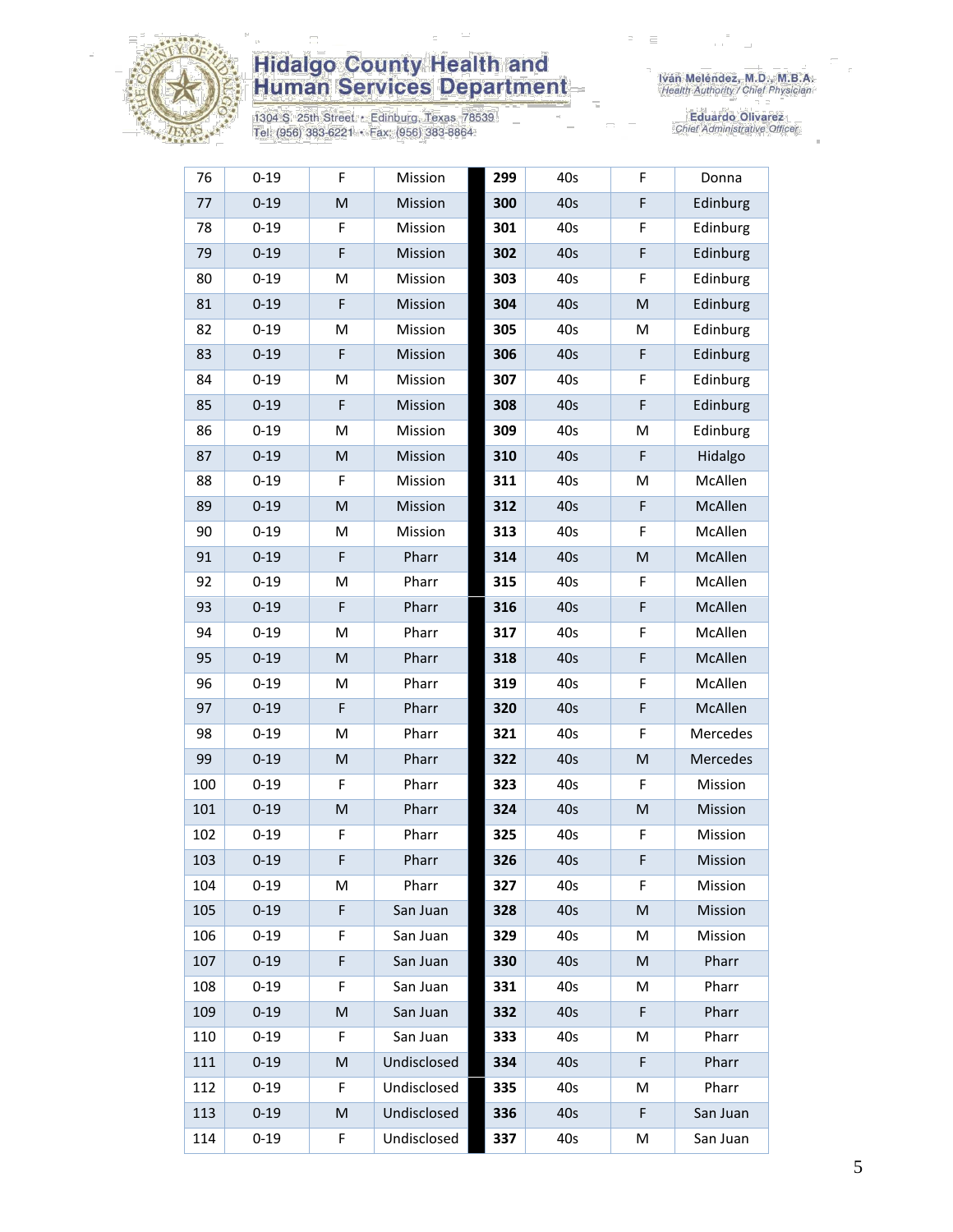

1304 S. 25th Street • Edinburg, Texas 78539<br>Tel: (956) 383-6221 • Fax: (956) 383-8864

| 76  | $0 - 19$ | F                                                                                                          | Mission     | 299 | 40s | F  | Donna    |
|-----|----------|------------------------------------------------------------------------------------------------------------|-------------|-----|-----|----|----------|
| 77  | $0 - 19$ | M                                                                                                          | Mission     | 300 | 40s | F  | Edinburg |
| 78  | $0 - 19$ | F                                                                                                          | Mission     | 301 | 40s | F  | Edinburg |
| 79  | $0 - 19$ | $\mathsf F$                                                                                                | Mission     | 302 | 40s | F  | Edinburg |
| 80  | $0 - 19$ | M                                                                                                          | Mission     | 303 | 40s | F  | Edinburg |
| 81  | $0 - 19$ | F                                                                                                          | Mission     | 304 | 40s | M  | Edinburg |
| 82  | $0 - 19$ | M                                                                                                          | Mission     | 305 | 40s | M  | Edinburg |
| 83  | $0 - 19$ | F                                                                                                          | Mission     | 306 | 40s | F  | Edinburg |
| 84  | $0 - 19$ | M                                                                                                          | Mission     | 307 | 40s | F  | Edinburg |
| 85  | $0 - 19$ | F                                                                                                          | Mission     | 308 | 40s | F  | Edinburg |
| 86  | $0 - 19$ | M                                                                                                          | Mission     | 309 | 40s | М  | Edinburg |
| 87  | $0 - 19$ | M                                                                                                          | Mission     | 310 | 40s | F  | Hidalgo  |
| 88  | $0 - 19$ | F                                                                                                          | Mission     | 311 | 40s | M  | McAllen  |
| 89  | $0 - 19$ | M                                                                                                          | Mission     | 312 | 40s | F  | McAllen  |
| 90  | $0 - 19$ | M                                                                                                          | Mission     | 313 | 40s | F  | McAllen  |
| 91  | $0 - 19$ | F                                                                                                          | Pharr       | 314 | 40s | M  | McAllen  |
| 92  | $0 - 19$ | M                                                                                                          | Pharr       | 315 | 40s | F  | McAllen  |
| 93  | $0 - 19$ | F                                                                                                          | Pharr       | 316 | 40s | F  | McAllen  |
| 94  | $0 - 19$ | M                                                                                                          | Pharr       | 317 | 40s | F  | McAllen  |
| 95  | $0 - 19$ | M                                                                                                          | Pharr       | 318 | 40s | F  | McAllen  |
| 96  | $0 - 19$ | M                                                                                                          | Pharr       | 319 | 40s | F  | McAllen  |
| 97  | $0 - 19$ | $\mathsf F$                                                                                                | Pharr       | 320 | 40s | F  | McAllen  |
| 98  | $0 - 19$ | M                                                                                                          | Pharr       | 321 | 40s | F  | Mercedes |
| 99  | $0 - 19$ | $\mathsf{M}% _{T}=\mathsf{M}_{T}\!\left( a,b\right) ,\ \mathsf{M}_{T}=\mathsf{M}_{T}\!\left( a,b\right) ,$ | Pharr       | 322 | 40s | M  | Mercedes |
| 100 | $0 - 19$ | F                                                                                                          | Pharr       | 323 | 40s | F  | Mission  |
| 101 | $0 - 19$ | M                                                                                                          | Pharr       | 324 | 40s | M  | Mission  |
| 102 | $0 - 19$ | F                                                                                                          | Pharr       | 325 | 40s | F  | Mission  |
| 103 | $0 - 19$ | F                                                                                                          | Pharr       | 326 | 40s | F  | Mission  |
| 104 | $0 - 19$ | M                                                                                                          | Pharr       | 327 | 40s | F  | Mission  |
| 105 | $0 - 19$ | F                                                                                                          | San Juan    | 328 | 40s | M  | Mission  |
| 106 | $0 - 19$ | F                                                                                                          | San Juan    | 329 | 40s | м  | Mission  |
| 107 | $0 - 19$ | F                                                                                                          | San Juan    | 330 | 40s | M  | Pharr    |
| 108 | $0 - 19$ | F                                                                                                          | San Juan    | 331 | 40s | М  | Pharr    |
| 109 | $0 - 19$ | M                                                                                                          | San Juan    | 332 | 40s | F  | Pharr    |
| 110 | $0 - 19$ | F.                                                                                                         | San Juan    | 333 | 40s | М  | Pharr    |
| 111 | $0 - 19$ | M                                                                                                          | Undisclosed | 334 | 40s | F  | Pharr    |
| 112 | $0 - 19$ | F                                                                                                          | Undisclosed | 335 | 40s | М  | Pharr    |
| 113 | $0 - 19$ | M                                                                                                          | Undisclosed | 336 | 40s | F. | San Juan |
| 114 | $0 - 19$ | F                                                                                                          | Undisclosed | 337 | 40s | М  | San Juan |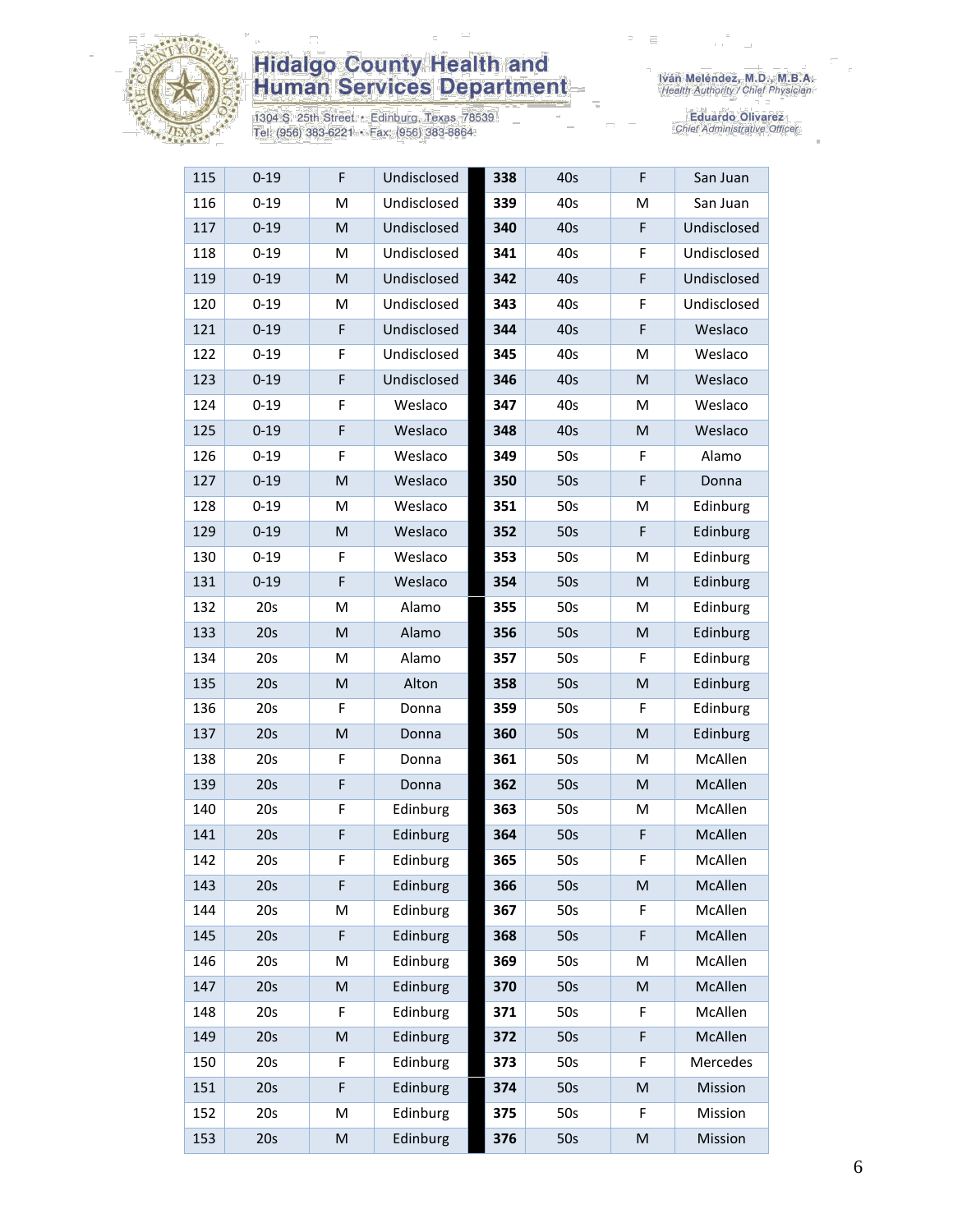

1304 S. 25th Street • Edinburg, Texas 78539<br>Tel: (956) 383-6221 • Fax: (956) 383-8864

| 115 | $0 - 19$ | $\mathsf F$                                                                                                | Undisclosed | 338 | 40s | F                                                                                                          | San Juan    |
|-----|----------|------------------------------------------------------------------------------------------------------------|-------------|-----|-----|------------------------------------------------------------------------------------------------------------|-------------|
| 116 | $0 - 19$ | M                                                                                                          | Undisclosed | 339 | 40s | M                                                                                                          | San Juan    |
| 117 | $0 - 19$ | M                                                                                                          | Undisclosed | 340 | 40s | F                                                                                                          | Undisclosed |
| 118 | $0 - 19$ | M                                                                                                          | Undisclosed | 341 | 40s | F                                                                                                          | Undisclosed |
| 119 | $0 - 19$ | M                                                                                                          | Undisclosed | 342 | 40s | F                                                                                                          | Undisclosed |
| 120 | $0 - 19$ | M                                                                                                          | Undisclosed | 343 | 40s | F                                                                                                          | Undisclosed |
| 121 | $0 - 19$ | F                                                                                                          | Undisclosed | 344 | 40s | F                                                                                                          | Weslaco     |
| 122 | $0 - 19$ | F                                                                                                          | Undisclosed | 345 | 40s | M                                                                                                          | Weslaco     |
| 123 | $0 - 19$ | $\mathsf F$                                                                                                | Undisclosed | 346 | 40s | M                                                                                                          | Weslaco     |
| 124 | $0 - 19$ | F                                                                                                          | Weslaco     | 347 | 40s | M                                                                                                          | Weslaco     |
| 125 | $0 - 19$ | $\mathsf F$                                                                                                | Weslaco     | 348 | 40s | M                                                                                                          | Weslaco     |
| 126 | $0 - 19$ | F                                                                                                          | Weslaco     | 349 | 50s | F                                                                                                          | Alamo       |
| 127 | $0 - 19$ | ${\sf M}$                                                                                                  | Weslaco     | 350 | 50s | F                                                                                                          | Donna       |
| 128 | $0 - 19$ | M                                                                                                          | Weslaco     | 351 | 50s | M                                                                                                          | Edinburg    |
| 129 | $0 - 19$ | ${\sf M}$                                                                                                  | Weslaco     | 352 | 50s | F                                                                                                          | Edinburg    |
| 130 | $0 - 19$ | F                                                                                                          | Weslaco     | 353 | 50s | M                                                                                                          | Edinburg    |
| 131 | $0 - 19$ | $\mathsf F$                                                                                                | Weslaco     | 354 | 50s | M                                                                                                          | Edinburg    |
| 132 | 20s      | M                                                                                                          | Alamo       | 355 | 50s | M                                                                                                          | Edinburg    |
| 133 | 20s      | M                                                                                                          | Alamo       | 356 | 50s | M                                                                                                          | Edinburg    |
| 134 | 20s      | M                                                                                                          | Alamo       | 357 | 50s | F                                                                                                          | Edinburg    |
| 135 | 20s      | M                                                                                                          | Alton       | 358 | 50s | M                                                                                                          | Edinburg    |
| 136 | 20s      | F                                                                                                          | Donna       | 359 | 50s | F                                                                                                          | Edinburg    |
| 137 | 20s      | $\mathsf{M}% _{T}=\mathsf{M}_{T}\!\left( a,b\right) ,\ \mathsf{M}_{T}=\mathsf{M}_{T}\!\left( a,b\right) ,$ | Donna       | 360 | 50s | $\mathsf{M}% _{T}=\mathsf{M}_{T}\!\left( a,b\right) ,\ \mathsf{M}_{T}=\mathsf{M}_{T}\!\left( a,b\right) ,$ | Edinburg    |
| 138 | 20s      | F                                                                                                          | Donna       | 361 | 50s | М                                                                                                          | McAllen     |
| 139 | 20s      | $\mathsf F$                                                                                                | Donna       | 362 | 50s | M                                                                                                          | McAllen     |
| 140 | 20s      | $\mathsf F$                                                                                                | Edinburg    | 363 | 50s | M                                                                                                          | McAllen     |
| 141 | 20s      | F                                                                                                          | Edinburg    | 364 | 50s | F                                                                                                          | McAllen     |
| 142 | 20s      | F                                                                                                          | Edinburg    | 365 | 50s | F                                                                                                          | McAllen     |
| 143 | 20s      | F                                                                                                          | Edinburg    | 366 | 50s | M                                                                                                          | McAllen     |
| 144 | 20s      | M                                                                                                          | Edinburg    | 367 | 50s | F                                                                                                          | McAllen     |
| 145 | 20s      | F                                                                                                          | Edinburg    | 368 | 50s | F                                                                                                          | McAllen     |
| 146 | 20s      | M                                                                                                          | Edinburg    | 369 | 50s | M                                                                                                          | McAllen     |
| 147 | 20s      | M                                                                                                          | Edinburg    | 370 | 50s | M                                                                                                          | McAllen     |
| 148 | 20s      | F                                                                                                          | Edinburg    | 371 | 50s | F                                                                                                          | McAllen     |
| 149 | 20s      | M                                                                                                          | Edinburg    | 372 | 50s | F                                                                                                          | McAllen     |
| 150 | 20s      | F                                                                                                          | Edinburg    | 373 | 50s | F                                                                                                          | Mercedes    |
| 151 | 20s      | F                                                                                                          | Edinburg    | 374 | 50s | M                                                                                                          | Mission     |
| 152 | 20s      | M                                                                                                          | Edinburg    | 375 | 50s | F                                                                                                          | Mission     |
| 153 | 20s      | M                                                                                                          | Edinburg    | 376 | 50s | M                                                                                                          | Mission     |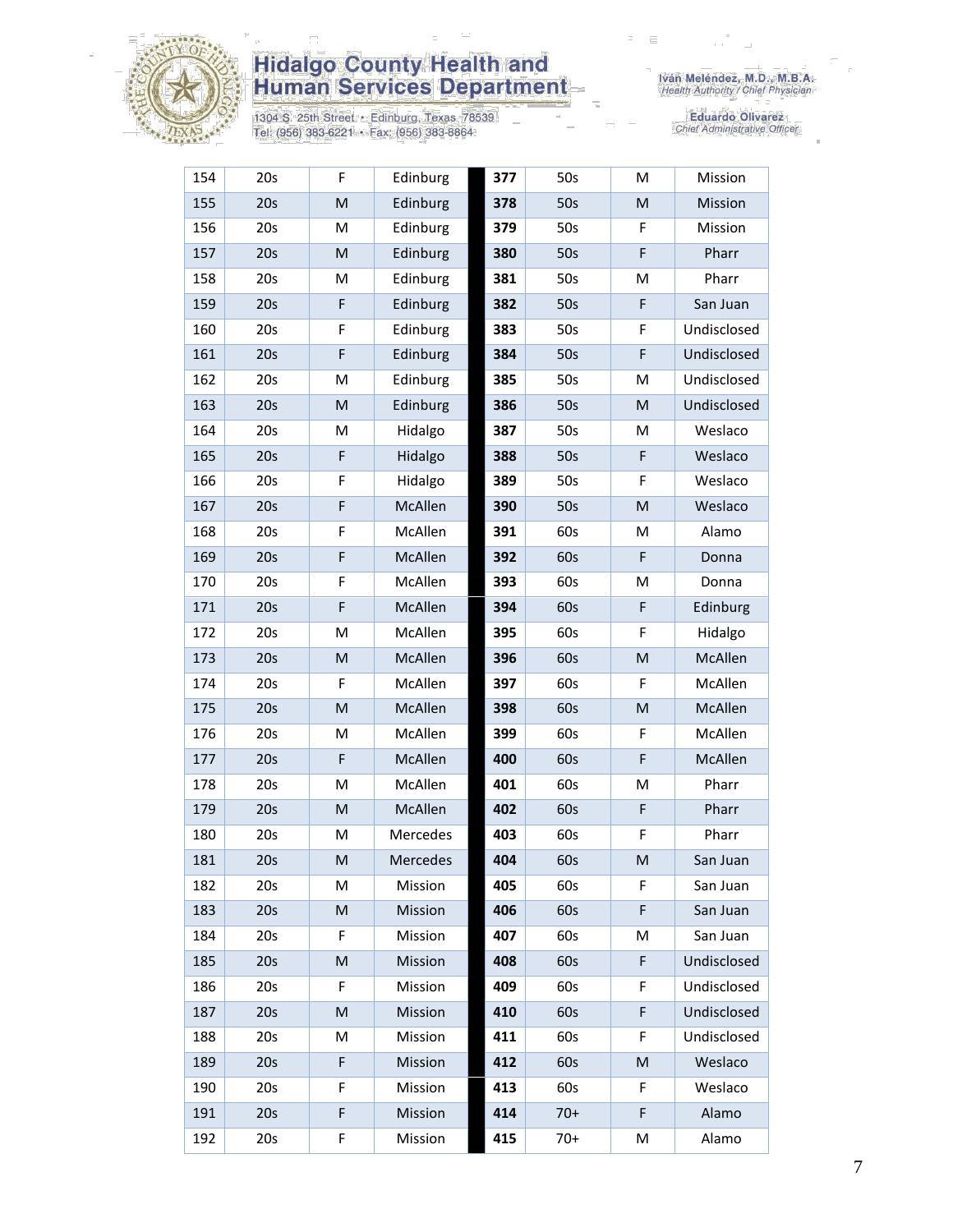

1304 S. 25th Street • Edinburg, Texas 78539<br>Tel: (956) 383-6221 • Fax: (956) 383-8864

| 154 | 20s | F           | Edinburg | 377 | 50s   | M | Mission     |
|-----|-----|-------------|----------|-----|-------|---|-------------|
| 155 | 20s | M           | Edinburg | 378 | 50s   | M | Mission     |
| 156 | 20s | M           | Edinburg | 379 | 50s   | F | Mission     |
| 157 | 20s | M           | Edinburg | 380 | 50s   | F | Pharr       |
| 158 | 20s | M           | Edinburg | 381 | 50s   | M | Pharr       |
| 159 | 20s | F           | Edinburg | 382 | 50s   | F | San Juan    |
| 160 | 20s | F           | Edinburg | 383 | 50s   | F | Undisclosed |
| 161 | 20s | F           | Edinburg | 384 | 50s   | F | Undisclosed |
| 162 | 20s | M           | Edinburg | 385 | 50s   | M | Undisclosed |
| 163 | 20s | M           | Edinburg | 386 | 50s   | M | Undisclosed |
| 164 | 20s | M           | Hidalgo  | 387 | 50s   | M | Weslaco     |
| 165 | 20s | $\mathsf F$ | Hidalgo  | 388 | 50s   | F | Weslaco     |
| 166 | 20s | F           | Hidalgo  | 389 | 50s   | F | Weslaco     |
| 167 | 20s | F           | McAllen  | 390 | 50s   | M | Weslaco     |
| 168 | 20s | F           | McAllen  | 391 | 60s   | M | Alamo       |
| 169 | 20s | F           | McAllen  | 392 | 60s   | F | Donna       |
| 170 | 20s | F           | McAllen  | 393 | 60s   | M | Donna       |
| 171 | 20s | F           | McAllen  | 394 | 60s   | F | Edinburg    |
| 172 | 20s | M           | McAllen  | 395 | 60s   | F | Hidalgo     |
| 173 | 20s | M           | McAllen  | 396 | 60s   | M | McAllen     |
| 174 | 20s | F           | McAllen  | 397 | 60s   | F | McAllen     |
| 175 | 20s | M           | McAllen  | 398 | 60s   | M | McAllen     |
| 176 | 20s | M           | McAllen  | 399 | 60s   | F | McAllen     |
| 177 | 20s | F           | McAllen  | 400 | 60s   | F | McAllen     |
| 178 | 20s | M           | McAllen  | 401 | 60s   | M | Pharr       |
| 179 | 20s | M           | McAllen  | 402 | 60s   | F | Pharr       |
| 180 | 20s | М           | Mercedes | 403 | 60s   | F | Pharr       |
| 181 | 20s | M           | Mercedes | 404 | 60s   | M | San Juan    |
| 182 | 20s | M           | Mission  | 405 | 60s   | F | San Juan    |
| 183 | 20s | M           | Mission  | 406 | 60s   | F | San Juan    |
| 184 | 20s | F           | Mission  | 407 | 60s   | M | San Juan    |
| 185 | 20s | M           | Mission  | 408 | 60s   | F | Undisclosed |
| 186 | 20s | F           | Mission  | 409 | 60s   | F | Undisclosed |
| 187 | 20s | M           | Mission  | 410 | 60s   | F | Undisclosed |
| 188 | 20s | M           | Mission  | 411 | 60s   | F | Undisclosed |
| 189 | 20s | F           | Mission  | 412 | 60s   | M | Weslaco     |
| 190 | 20s | F           | Mission  | 413 | 60s   | F | Weslaco     |
| 191 | 20s | F           | Mission  | 414 | $70+$ | F | Alamo       |
| 192 | 20s | F           | Mission  | 415 | $70+$ | M | Alamo       |